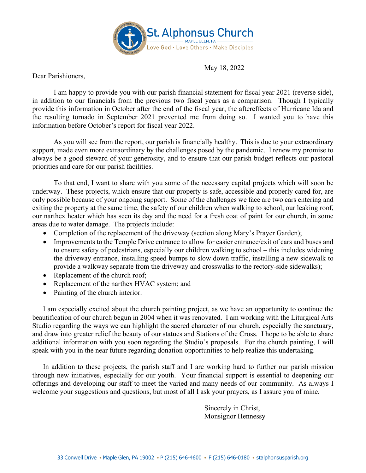

May 18, 2022

Dear Parishioners,

I am happy to provide you with our parish financial statement for fiscal year 2021 (reverse side), in addition to our financials from the previous two fiscal years as a comparison. Though I typically provide this information in October after the end of the fiscal year, the aftereffects of Hurricane Ida and the resulting tornado in September 2021 prevented me from doing so. I wanted you to have this information before October's report for fiscal year 2022.

As you will see from the report, our parish is financially healthy. This is due to your extraordinary support, made even more extraordinary by the challenges posed by the pandemic. I renew my promise to always be a good steward of your generosity, and to ensure that our parish budget reflects our pastoral priorities and care for our parish facilities.

To that end, I want to share with you some of the necessary capital projects which will soon be underway. These projects, which ensure that our property is safe, accessible and properly cared for, are only possible because of your ongoing support. Some of the challenges we face are two cars entering and exiting the property at the same time, the safety of our children when walking to school, our leaking roof, our narthex heater which has seen its day and the need for a fresh coat of paint for our church, in some areas due to water damage. The projects include:

- Completion of the replacement of the driveway (section along Mary's Prayer Garden);
- Improvements to the Temple Drive entrance to allow for easier entrance/exit of cars and buses and to ensure safety of pedestrians, especially our children walking to school – this includes widening the driveway entrance, installing speed bumps to slow down traffic, installing a new sidewalk to provide a walkway separate from the driveway and crosswalks to the rectory-side sidewalks);
- Replacement of the church roof;
- Replacement of the narthex HVAC system; and
- Painting of the church interior.

I am especially excited about the church painting project, as we have an opportunity to continue the beautification of our church begun in 2004 when it was renovated. I am working with the Liturgical Arts Studio regarding the ways we can highlight the sacred character of our church, especially the sanctuary, and draw into greater relief the beauty of our statues and Stations of the Cross. I hope to be able to share additional information with you soon regarding the Studio's proposals. For the church painting, I will speak with you in the near future regarding donation opportunities to help realize this undertaking.

In addition to these projects, the parish staff and I are working hard to further our parish mission through new initiatives, especially for our youth. Your financial support is essential to deepening our offerings and developing our staff to meet the varied and many needs of our community. As always I welcome your suggestions and questions, but most of all I ask your prayers, as I assure you of mine.

> Sincerely in Christ, Monsignor Hennessy